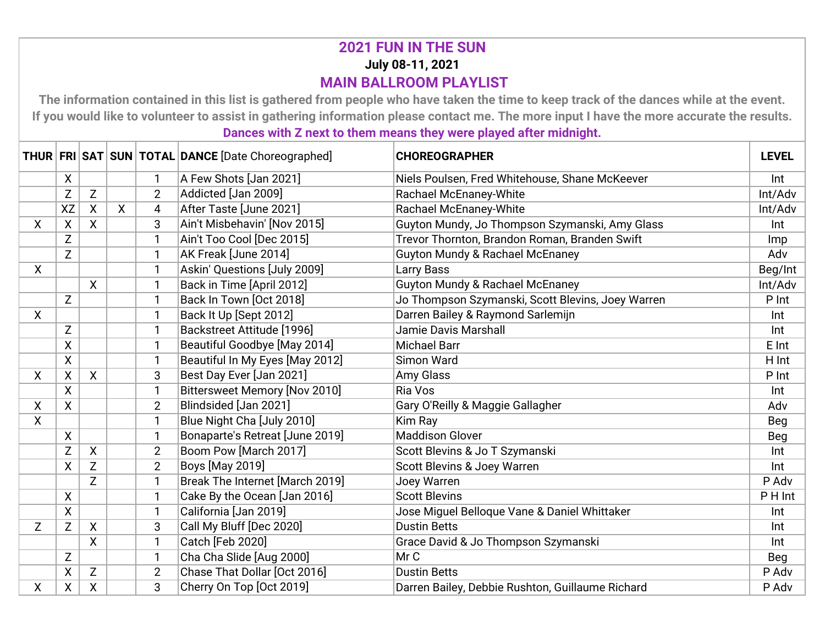## **2021 FUN IN THE SUN July 08-11, 2021 MAIN BALLROOM PLAYLIST**

**The information contained in this list is gathered from people who have taken the time to keep track of the dances while at the event. If you would like to volunteer to assist in gathering information please contact me. The more input I have the more accurate the results. Dances with Z next to them means they were played after midnight.**

|              |                         |              |    |                | THUR FRI SAT SUN TOTAL DANCE [Date Choreographed] | <b>CHOREOGRAPHER</b>                              | <b>LEVEL</b> |
|--------------|-------------------------|--------------|----|----------------|---------------------------------------------------|---------------------------------------------------|--------------|
|              | $\pmb{\mathsf{X}}$      |              |    | 1              | A Few Shots [Jan 2021]                            | Niels Poulsen, Fred Whitehouse, Shane McKeever    | Int          |
|              | Z                       | Z            |    | $\overline{2}$ | Addicted [Jan 2009]                               | Rachael McEnaney-White                            | Int/Adv      |
|              | <b>XZ</b>               | X            | X. | 4              | After Taste [June 2021]                           | Rachael McEnaney-White                            | Int/Adv      |
| X            | $\pmb{\mathsf{X}}$      | $\mathsf{X}$ |    | 3              | Ain't Misbehavin' [Nov 2015]                      | Guyton Mundy, Jo Thompson Szymanski, Amy Glass    | Int          |
|              | Z                       |              |    | 1              | Ain't Too Cool [Dec 2015]                         | Trevor Thornton, Brandon Roman, Branden Swift     | Imp          |
|              | $\mathsf{Z}$            |              |    | $\mathbf{1}$   | AK Freak [June 2014]                              | <b>Guyton Mundy &amp; Rachael McEnaney</b>        | Adv          |
| $\mathsf{X}$ |                         |              |    | 1              | Askin' Questions [July 2009]                      | Larry Bass                                        | Beg/Int      |
|              |                         | X            |    | 1              | Back in Time [April 2012]                         | <b>Guyton Mundy &amp; Rachael McEnaney</b>        | Int/Adv      |
|              | $\mathsf Z$             |              |    | 1              | Back In Town [Oct 2018]                           | Jo Thompson Szymanski, Scott Blevins, Joey Warren | P Int        |
| X            |                         |              |    | 1              | Back It Up [Sept 2012]                            | Darren Bailey & Raymond Sarlemijn                 | Int          |
|              | Z                       |              |    | 1              | Backstreet Attitude [1996]                        | Jamie Davis Marshall                              | Int          |
|              | $\pmb{\mathsf{X}}$      |              |    | 1              | Beautiful Goodbye [May 2014]                      | <b>Michael Barr</b>                               | E Int        |
|              | $\pmb{\mathsf{X}}$      |              |    | 1              | Beautiful In My Eyes [May 2012]                   | Simon Ward                                        | H Int        |
| X            | χ                       | $\mathsf{X}$ |    | 3              | Best Day Ever [Jan 2021]                          | Amy Glass                                         | P Int        |
|              | $\overline{\mathsf{x}}$ |              |    | $\mathbf{1}$   | <b>Bittersweet Memory [Nov 2010]</b>              | Ria Vos                                           | Int          |
| X            | X                       |              |    | $\overline{2}$ | Blindsided [Jan 2021]                             | Gary O'Reilly & Maggie Gallagher                  | Adv          |
| X            |                         |              |    | $\mathbf{1}$   | Blue Night Cha [July 2010]                        | Kim Ray                                           | Beg          |
|              | $\pmb{\mathsf{X}}$      |              |    | 1              | Bonaparte's Retreat [June 2019]                   | <b>Maddison Glover</b>                            | Beg          |
|              | Z                       | X            |    | $\overline{2}$ | Boom Pow [March 2017]                             | Scott Blevins & Jo T Szymanski                    | Int          |
|              | X                       | Z            |    | $\overline{2}$ | <b>Boys [May 2019]</b>                            | Scott Blevins & Joey Warren                       | Int          |
|              |                         | Z            |    | 1              | Break The Internet [March 2019]                   | Joey Warren                                       | P Adv        |
|              | $\pmb{\mathsf{X}}$      |              |    | $\mathbf{1}$   | Cake By the Ocean [Jan 2016]                      | <b>Scott Blevins</b>                              | P H Int      |
|              | $\mathsf{X}$            |              |    | 1              | California [Jan 2019]                             | Jose Miguel Belloque Vane & Daniel Whittaker      | Int          |
| Z            | Z                       | X            |    | 3              | Call My Bluff [Dec 2020]                          | <b>Dustin Betts</b>                               | Int          |
|              |                         | X            |    | $\mathbf{1}$   | Catch [Feb 2020]                                  | Grace David & Jo Thompson Szymanski               | Int          |
|              | Z                       |              |    | 1              | Cha Cha Slide [Aug 2000]                          | MrC                                               | Beg          |
|              | X                       | Z            |    | $\overline{2}$ | Chase That Dollar [Oct 2016]                      | <b>Dustin Betts</b>                               | P Adv        |
| X            | X                       | X            |    | 3              | Cherry On Top [Oct 2019]                          | Darren Bailey, Debbie Rushton, Guillaume Richard  | P Adv        |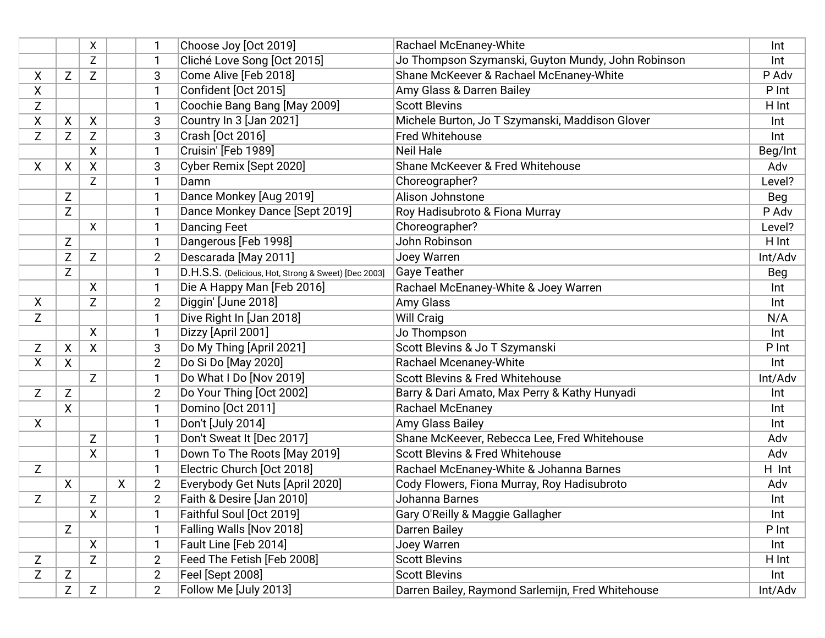|   |              | X            |   | 1              | Choose Joy [Oct 2019]                                | Rachael McEnaney-White                             | Int     |
|---|--------------|--------------|---|----------------|------------------------------------------------------|----------------------------------------------------|---------|
|   |              | Z            |   | $\mathbf{1}$   | Cliché Love Song [Oct 2015]                          | Jo Thompson Szymanski, Guyton Mundy, John Robinson | Int     |
| Χ | Z            | Z            |   | 3              | Come Alive [Feb 2018]                                | Shane McKeever & Rachael McEnaney-White            | P Adv   |
| Χ |              |              |   | $\mathbf{1}$   | Confident [Oct 2015]                                 | Amy Glass & Darren Bailey                          | P Int   |
| Z |              |              |   | $\mathbf{1}$   | Coochie Bang Bang [May 2009]                         | <b>Scott Blevins</b>                               | H Int   |
| Χ | X            | X            |   | 3              | Country In 3 [Jan 2021]                              | Michele Burton, Jo T Szymanski, Maddison Glover    | Int     |
| Z | Z            | Z            |   | 3              | Crash [Oct 2016]                                     | Fred Whitehouse                                    | Int     |
|   |              | χ            |   | $\mathbf{1}$   | Cruisin' [Feb 1989]                                  | <b>Neil Hale</b>                                   | Beg/Int |
| X | X            | X            |   | 3              | Cyber Remix [Sept 2020]                              | Shane McKeever & Fred Whitehouse                   | Adv     |
|   |              | Z            |   | $\mathbf{1}$   | Damn                                                 | Choreographer?                                     | Level?  |
|   | Z            |              |   | $\mathbf{1}$   | Dance Monkey [Aug 2019]                              | Alison Johnstone                                   | Beg     |
|   | $\mathsf Z$  |              |   | $\mathbf{1}$   | Dance Monkey Dance [Sept 2019]                       | Roy Hadisubroto & Fiona Murray                     | P Adv   |
|   |              | X            |   | $\mathbf{1}$   | <b>Dancing Feet</b>                                  | Choreographer?                                     | Level?  |
|   | $\mathsf{Z}$ |              |   | $\mathbf{1}$   | Dangerous [Feb 1998]                                 | John Robinson                                      | H Int   |
|   | Z            | Z            |   | $\overline{2}$ | Descarada [May 2011]                                 | Joey Warren                                        | Int/Adv |
|   | Z            |              |   | 1              | D.H.S.S. (Delicious, Hot, Strong & Sweet) [Dec 2003] | Gaye Teather                                       | Beg     |
|   |              | X            |   | $\mathbf{1}$   | Die A Happy Man [Feb 2016]                           | Rachael McEnaney-White & Joey Warren               | Int     |
| X |              | Z            |   | $\overline{2}$ | Diggin' [June 2018]                                  | Amy Glass                                          | Int     |
| Z |              |              |   | $\mathbf{1}$   | Dive Right In [Jan 2018]                             | <b>Will Craig</b>                                  | N/A     |
|   |              | $\mathsf{X}$ |   | $\mathbf{1}$   | Dizzy [April 2001]                                   | Jo Thompson                                        | Int     |
| Z | X            | X            |   | 3              | Do My Thing [April 2021]                             | Scott Blevins & Jo T Szymanski                     | P Int   |
| Χ | X            |              |   | $\overline{2}$ | Do Si Do [May 2020]                                  | Rachael Mcenaney-White                             | Int     |
|   |              | Z            |   | 1              | Do What I Do [Nov 2019]                              | <b>Scott Blevins &amp; Fred Whitehouse</b>         | Int/Adv |
| Z | $\mathsf{Z}$ |              |   | $\overline{2}$ | Do Your Thing [Oct 2002]                             | Barry & Dari Amato, Max Perry & Kathy Hunyadi      | Int     |
|   | χ            |              |   | $\mathbf{1}$   | Domino [Oct 2011]                                    | Rachael McEnaney                                   | Int     |
| X |              |              |   | $\mathbf{1}$   | Don't [July 2014]                                    | Amy Glass Bailey                                   | Int     |
|   |              | Z            |   | 1              | Don't Sweat It [Dec 2017]                            | Shane McKeever, Rebecca Lee, Fred Whitehouse       | Adv     |
|   |              | X            |   | 1              | Down To The Roots [May 2019]                         | <b>Scott Blevins &amp; Fred Whitehouse</b>         | Adv     |
| Z |              |              |   | $\mathbf{1}$   | Electric Church [Oct 2018]                           | Rachael McEnaney-White & Johanna Barnes            | H Int   |
|   | X            |              | X | $\overline{2}$ | Everybody Get Nuts [April 2020]                      | Cody Flowers, Fiona Murray, Roy Hadisubroto        | Adv     |
| Z |              | Z            |   | $\overline{2}$ | Faith & Desire [Jan 2010]                            | Johanna Barnes                                     | Int     |
|   |              | X            |   | 1              | Faithful Soul [Oct 2019]                             | Gary O'Reilly & Maggie Gallagher                   | Int     |
|   | Z            |              |   | $\mathbf{1}$   | Falling Walls [Nov 2018]                             | <b>Darren Bailey</b>                               | P Int   |
|   |              | $\mathsf{X}$ |   | 1              | Fault Line [Feb 2014]                                | Joey Warren                                        | Int     |
| Z |              | Z            |   | $\overline{2}$ | Feed The Fetish [Feb 2008]                           | <b>Scott Blevins</b>                               | H Int   |
| Z | Z            |              |   | $\overline{2}$ | Feel [Sept 2008]                                     | <b>Scott Blevins</b>                               | Int     |
|   | Z            | Z            |   | $\overline{2}$ | Follow Me [July 2013]                                | Darren Bailey, Raymond Sarlemijn, Fred Whitehouse  | Int/Adv |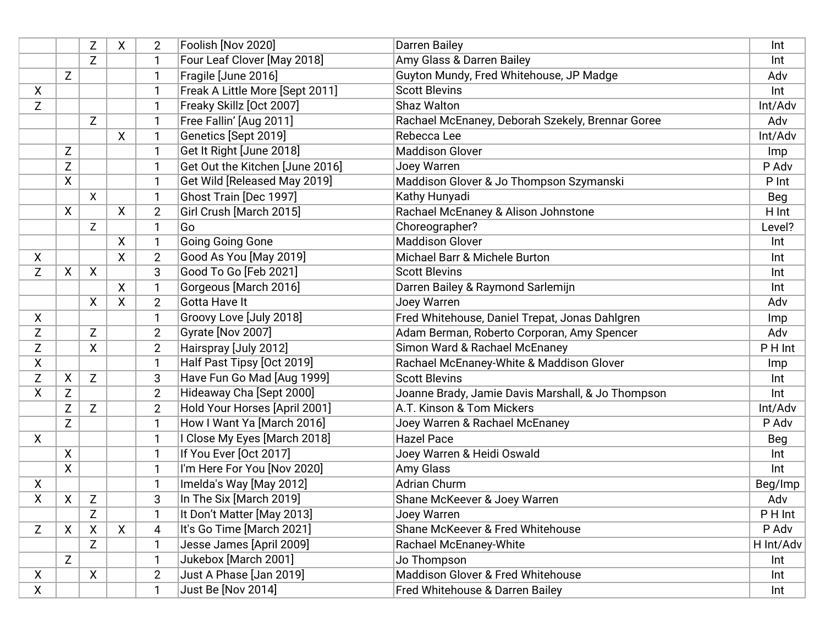|                    |                  | Z                         | X            | $\overline{2}$ | Foolish [Nov 2020]              | Darren Bailey                                     | Int        |
|--------------------|------------------|---------------------------|--------------|----------------|---------------------------------|---------------------------------------------------|------------|
|                    |                  | Z                         |              | $\mathbf{1}$   | Four Leaf Clover [May 2018]     | Amy Glass & Darren Bailey                         | Int        |
|                    | $\mathsf{Z}$     |                           |              | 1              | Fragile [June 2016]             | Guyton Mundy, Fred Whitehouse, JP Madge           | Adv        |
| X                  |                  |                           |              | $\mathbf{1}$   | Freak A Little More [Sept 2011] | <b>Scott Blevins</b>                              | Int        |
| Z                  |                  |                           |              | $\mathbf{1}$   | Freaky Skillz [Oct 2007]        | Shaz Walton                                       | Int/Adv    |
|                    |                  | Z                         |              | $\mathbf{1}$   | Free Fallin' [Aug 2011]         | Rachael McEnaney, Deborah Szekely, Brennar Goree  | Adv        |
|                    |                  |                           | $\mathsf{X}$ | 1              | Genetics [Sept 2019]            | Rebecca Lee                                       | Int/Adv    |
|                    | Z                |                           |              | 1              | Get It Right [June 2018]        | <b>Maddison Glover</b>                            | Imp        |
|                    | Z                |                           |              | $\mathbf{1}$   | Get Out the Kitchen [June 2016] | Joey Warren                                       | P Adv      |
|                    | X                |                           |              | $\mathbf{1}$   | Get Wild [Released May 2019]    | Maddison Glover & Jo Thompson Szymanski           | P Int      |
|                    |                  | X                         |              | $\mathbf{1}$   | Ghost Train [Dec 1997]          | Kathy Hunyadi                                     | <b>Beg</b> |
|                    | X                |                           | X            | $\overline{2}$ | Girl Crush [March 2015]         | Rachael McEnaney & Alison Johnstone               | H Int      |
|                    |                  | Z                         |              | 1              | Go                              | Choreographer?                                    | Level?     |
|                    |                  |                           | X            | $\mathbf{1}$   | Going Going Gone                | <b>Maddison Glover</b>                            | Int        |
| Χ                  |                  |                           | X            | $\overline{2}$ | Good As You [May 2019]          | Michael Barr & Michele Burton                     | Int        |
| Z                  | X                | $\mathsf{X}$              |              | 3              | Good To Go [Feb 2021]           | <b>Scott Blevins</b>                              | Int        |
|                    |                  |                           | X            |                | Gorgeous [March 2016]           | Darren Bailey & Raymond Sarlemijn                 | Int        |
|                    |                  | X                         | $\mathsf{X}$ | $\overline{2}$ | Gotta Have It                   | Joey Warren                                       | Adv        |
| $\mathsf{X}$       |                  |                           |              | 1              | Groovy Love [July 2018]         | Fred Whitehouse, Daniel Trepat, Jonas Dahlgren    | Imp        |
| Z                  |                  | Z                         |              | $\overline{2}$ | Gyrate [Nov 2007]               | Adam Berman, Roberto Corporan, Amy Spencer        | Adv        |
| Z                  |                  | X                         |              | $\overline{2}$ | Hairspray [July 2012]           | Simon Ward & Rachael McEnaney                     | P H Int    |
| X                  |                  |                           |              | $\mathbf{1}$   | Half Past Tipsy [Oct 2019]      | Rachael McEnaney-White & Maddison Glover          | Imp        |
| Z                  | X                | Z                         |              | 3              | Have Fun Go Mad [Aug 1999]      | <b>Scott Blevins</b>                              | Int        |
| X                  | Z                |                           |              | $\overline{2}$ | Hideaway Cha [Sept 2000]        | Joanne Brady, Jamie Davis Marshall, & Jo Thompson | Int        |
|                    | Z                | Z                         |              | $\overline{2}$ | Hold Your Horses [April 2001]   | A.T. Kinson & Tom Mickers                         | Int/Adv    |
|                    | Z                |                           |              | $\mathbf{1}$   | How I Want Ya [March 2016]      | Joey Warren & Rachael McEnaney                    | P Adv      |
| X                  |                  |                           |              | $\mathbf{1}$   | I Close My Eyes [March 2018]    | <b>Hazel Pace</b>                                 | Beg        |
|                    | $\boldsymbol{X}$ |                           |              | $\mathbf{1}$   | If You Ever [Oct 2017]          | Joey Warren & Heidi Oswald                        | Int        |
|                    | $\boldsymbol{X}$ |                           |              | $\mathbf{1}$   | I'm Here For You [Nov 2020]     | <b>Amy Glass</b>                                  | Int        |
| X                  |                  |                           |              | $\mathbf{1}$   | Imelda's Way [May 2012]         | Adrian Churm                                      | Beg/Imp    |
| χ                  | X                | Z                         |              | 3              | In The Six [March 2019]         | Shane McKeever & Joey Warren                      | Adv        |
|                    |                  | Z                         |              | 1              | It Don't Matter [May 2013]      | Joey Warren                                       | P H Int    |
| Z                  | $\boldsymbol{X}$ | $\boldsymbol{\mathsf{X}}$ | $\mathsf{X}$ | $\overline{4}$ | It's Go Time [March 2021]       | Shane McKeever & Fred Whitehouse                  | P Adv      |
|                    |                  | Z                         |              | 1              | Jesse James [April 2009]        | Rachael McEnaney-White                            | H Int/Adv  |
|                    | Z                |                           |              | $\mathbf{1}$   | Jukebox [March 2001]            | Jo Thompson                                       | Int        |
| $\pmb{\mathsf{X}}$ |                  | $\mathsf{X}$              |              | $\overline{2}$ | Just A Phase [Jan 2019]         | Maddison Glover & Fred Whitehouse                 | Int        |
| X                  |                  |                           |              | -1             | Just Be [Nov 2014]              | Fred Whitehouse & Darren Bailey                   | Int        |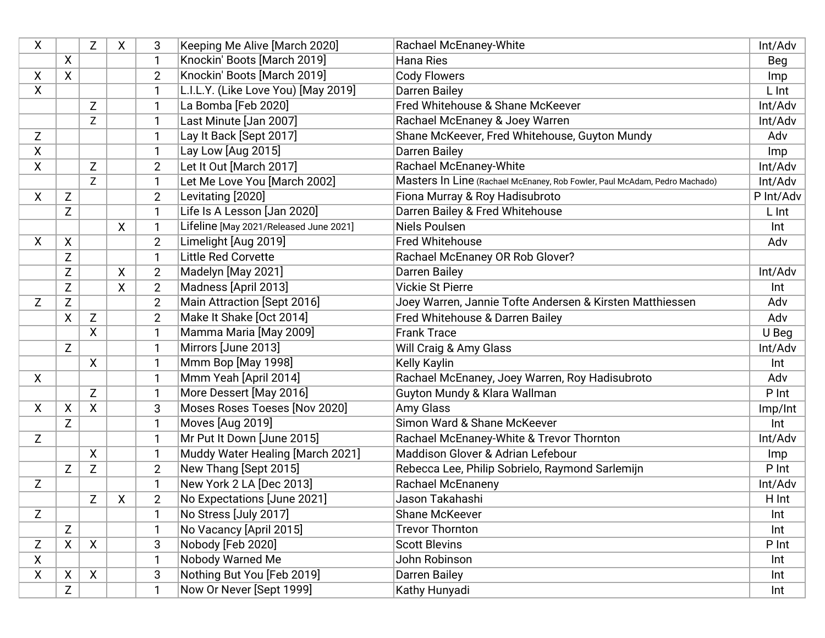| X            |             | Z            | X  | 3              | Keeping Me Alive [March 2020]          | <b>Rachael McEnaney-White</b>                                              | Int/Adv   |
|--------------|-------------|--------------|----|----------------|----------------------------------------|----------------------------------------------------------------------------|-----------|
|              | X           |              |    | 1              | Knockin' Boots [March 2019]            | <b>Hana Ries</b>                                                           | Beg       |
| Χ            | X           |              |    | $\overline{2}$ | Knockin' Boots [March 2019]            | <b>Cody Flowers</b>                                                        | Imp       |
| X            |             |              |    | 1              | L.I.L.Y. (Like Love You) [May 2019]    | <b>Darren Bailey</b>                                                       | L Int     |
|              |             | Z            |    | 1              | La Bomba [Feb 2020]                    | Fred Whitehouse & Shane McKeever                                           | Int/Adv   |
|              |             | Z            |    | 1              | Last Minute [Jan 2007]                 | Rachael McEnaney & Joey Warren                                             | Int/Adv   |
| Z            |             |              |    | $\mathbf{1}$   | Lay It Back [Sept 2017]                | Shane McKeever, Fred Whitehouse, Guyton Mundy                              | Adv       |
| χ            |             |              |    | 1              | Lay Low [Aug 2015]                     | <b>Darren Bailey</b>                                                       | Imp       |
| X.           |             | Z            |    | $\overline{2}$ | Let It Out [March 2017]                | <b>Rachael McEnaney-White</b>                                              | Int/Adv   |
|              |             | Z            |    | 1              | Let Me Love You [March 2002]           | Masters In Line (Rachael McEnaney, Rob Fowler, Paul McAdam, Pedro Machado) | Int/Adv   |
| X            | Z           |              |    | $\overline{2}$ | Levitating [2020]                      | Fiona Murray & Roy Hadisubroto                                             | P Int/Adv |
|              | Z           |              |    | 1              | Life Is A Lesson [Jan 2020]            | Darren Bailey & Fred Whitehouse                                            | L Int     |
|              |             |              | X  | 1              | Lifeline [May 2021/Released June 2021] | Niels Poulsen                                                              | Int       |
| X            | X           |              |    | $\overline{2}$ | Limelight [Aug 2019]                   | <b>Fred Whitehouse</b>                                                     | Adv       |
|              | Z           |              |    | 1              | <b>Little Red Corvette</b>             | Rachael McEnaney OR Rob Glover?                                            |           |
|              | Z           |              | X. | $\overline{2}$ | Madelyn [May 2021]                     | <b>Darren Bailey</b>                                                       | Int/Adv   |
|              | $\mathsf Z$ |              | χ  | $\overline{2}$ | Madness [April 2013]                   | <b>Vickie St Pierre</b>                                                    | Int       |
| Z            | Z           |              |    | $\overline{2}$ | Main Attraction [Sept 2016]            | Joey Warren, Jannie Tofte Andersen & Kirsten Matthiessen                   | Adv       |
|              | χ           | Z            |    | $\overline{2}$ | Make It Shake [Oct 2014]               | Fred Whitehouse & Darren Bailey                                            | Adv       |
|              |             | X            |    | 1              | Mamma Maria [May 2009]                 | <b>Frank Trace</b>                                                         | U Beg     |
|              | Z           |              |    | 1              | Mirrors [June 2013]                    | Will Craig & Amy Glass                                                     | Int/Adv   |
|              |             | $\mathsf{X}$ |    | $\mathbf{1}$   | Mmm Bop [May 1998]                     | <b>Kelly Kaylin</b>                                                        | Int       |
| X            |             |              |    | 1              | Mmm Yeah [April 2014]                  | Rachael McEnaney, Joey Warren, Roy Hadisubroto                             | Adv       |
|              |             | Z            |    | $\mathbf{1}$   | More Dessert [May 2016]                | Guyton Mundy & Klara Wallman                                               | P Int     |
| X            | X           | X            |    | 3              | Moses Roses Toeses [Nov 2020]          | Amy Glass                                                                  | Imp/Int   |
|              | Z           |              |    | 1              | Moves [Aug 2019]                       | Simon Ward & Shane McKeever                                                | Int       |
| Z            |             |              |    | 1              | Mr Put It Down [June 2015]             | Rachael McEnaney-White & Trevor Thornton                                   | Int/Adv   |
|              |             | X            |    | 1              | Muddy Water Healing [March 2021]       | Maddison Glover & Adrian Lefebour                                          | Imp       |
|              | Z           | Z            |    | $\overline{2}$ | New Thang [Sept 2015]                  | Rebecca Lee, Philip Sobrielo, Raymond Sarlemijn                            | P Int     |
| Z            |             |              |    | 1              | New York 2 LA [Dec 2013]               | <b>Rachael McEnaneny</b>                                                   | Int/Adv   |
|              |             | Z            | X  | $\overline{2}$ | No Expectations [June 2021]            | Jason Takahashi                                                            | H Int     |
| Z            |             |              |    | 1              | No Stress [July 2017]                  | Shane McKeever                                                             | Int       |
|              | Z           |              |    | 1              | No Vacancy [April 2015]                | <b>Trevor Thornton</b>                                                     | Int       |
| Ζ            | X           | $\mathsf{X}$ |    | 3              | Nobody [Feb 2020]                      | <b>Scott Blevins</b>                                                       | P Int     |
| X            |             |              |    | 1              | Nobody Warned Me                       | John Robinson                                                              | Int       |
| $\mathsf{X}$ | X           | $\mathsf{X}$ |    | 3              | Nothing But You [Feb 2019]             | <b>Darren Bailey</b>                                                       | Int       |
|              | Z           |              |    |                | Now Or Never [Sept 1999]               | Kathy Hunyadi                                                              | Int       |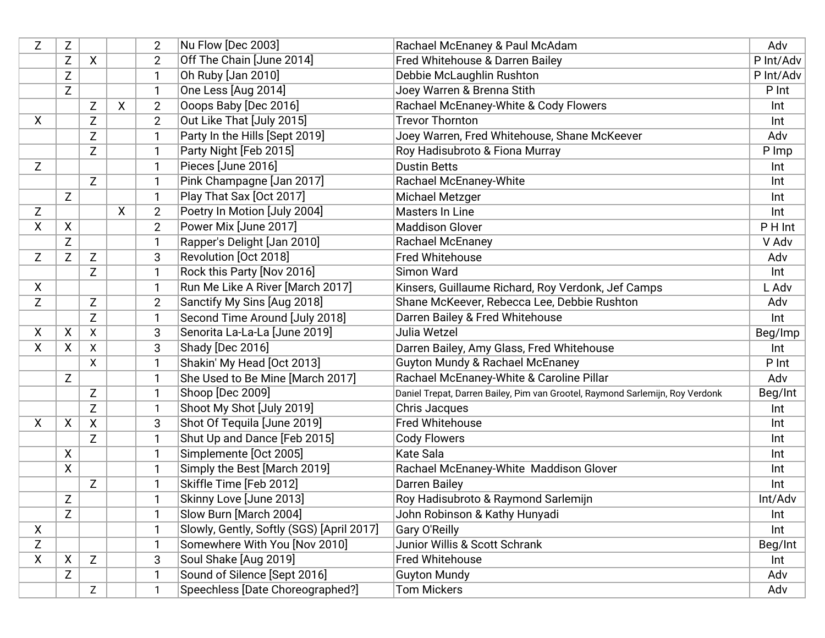| Z            | Z                  |              |   | $\overline{2}$ | Nu Flow [Dec 2003]                        | Rachael McEnaney & Paul McAdam                                                | Adv       |
|--------------|--------------------|--------------|---|----------------|-------------------------------------------|-------------------------------------------------------------------------------|-----------|
|              | Z                  | X            |   | $\overline{2}$ | Off The Chain [June 2014]                 | Fred Whitehouse & Darren Bailey                                               | P Int/Adv |
|              | Z                  |              |   | 1              | Oh Ruby [Jan 2010]                        | Debbie McLaughlin Rushton                                                     | P Int/Adv |
|              | Z                  |              |   | 1              | One Less [Aug 2014]                       | Joey Warren & Brenna Stith                                                    | P Int     |
|              |                    | Z            | χ | $\overline{2}$ | Ooops Baby [Dec 2016]                     | Rachael McEnaney-White & Cody Flowers                                         | Int       |
| X            |                    | Z            |   | $\overline{2}$ | Out Like That [July 2015]                 | <b>Trevor Thornton</b>                                                        | Int       |
|              |                    | Z            |   | 1              | Party In the Hills [Sept 2019]            | Joey Warren, Fred Whitehouse, Shane McKeever                                  | Adv       |
|              |                    | $\mathsf Z$  |   | 1              | Party Night [Feb 2015]                    | Roy Hadisubroto & Fiona Murray                                                | P Imp     |
| Z            |                    |              |   | 1              | Pieces [June 2016]                        | <b>Dustin Betts</b>                                                           | Int       |
|              |                    | Z            |   | 1              | Pink Champagne [Jan 2017]                 | <b>Rachael McEnaney-White</b>                                                 | Int       |
|              | Z                  |              |   | 1              | Play That Sax [Oct 2017]                  | Michael Metzger                                                               | Int       |
| Z            |                    |              | X | $\overline{2}$ | Poetry In Motion [July 2004]              | Masters In Line                                                               | Int       |
| X            | X                  |              |   | $\overline{2}$ | Power Mix [June 2017]                     | <b>Maddison Glover</b>                                                        | P H Int   |
|              | Z                  |              |   | 1              | Rapper's Delight [Jan 2010]               | <b>Rachael McEnaney</b>                                                       | V Adv     |
| Z            | Z                  | Z            |   | 3              | Revolution [Oct 2018]                     | <b>Fred Whitehouse</b>                                                        | Adv       |
|              |                    | Z            |   | 1              | Rock this Party [Nov 2016]                | Simon Ward                                                                    | Int       |
| X            |                    |              |   | 1              | Run Me Like A River [March 2017]          | Kinsers, Guillaume Richard, Roy Verdonk, Jef Camps                            | L Adv     |
| Z            |                    | Z            |   | $\overline{2}$ | Sanctify My Sins [Aug 2018]               | Shane McKeever, Rebecca Lee, Debbie Rushton                                   | Adv       |
|              |                    | $\mathsf{Z}$ |   | $\mathbf{1}$   | Second Time Around [July 2018]            | Darren Bailey & Fred Whitehouse                                               | Int       |
| X            | X                  | X            |   | 3              | Senorita La-La-La [June 2019]             | Julia Wetzel                                                                  | Beg/Imp   |
| X.           | X                  | X            |   | 3              | Shady [Dec 2016]                          | Darren Bailey, Amy Glass, Fred Whitehouse                                     | Int       |
|              |                    | X            |   | 1              | Shakin' My Head [Oct 2013]                | <b>Guyton Mundy &amp; Rachael McEnaney</b>                                    | P Int     |
|              | Z                  |              |   | 1              | She Used to Be Mine [March 2017]          | Rachael McEnaney-White & Caroline Pillar                                      | Adv       |
|              |                    | Z            |   | 1              | Shoop [Dec 2009]                          | Daniel Trepat, Darren Bailey, Pim van Grootel, Raymond Sarlemijn, Roy Verdonk | Beg/Int   |
|              |                    | Z            |   | 1              | Shoot My Shot [July 2019]                 | Chris Jacques                                                                 | Int       |
| X.           | X                  | X            |   | 3              | Shot Of Tequila [June 2019]               | Fred Whitehouse                                                               | Int       |
|              |                    | Z            |   | 1              | Shut Up and Dance [Feb 2015]              | <b>Cody Flowers</b>                                                           | Int       |
|              | X                  |              |   | $\mathbf{1}$   | Simplemente [Oct 2005]                    | <b>Kate Sala</b>                                                              | Int       |
|              | $\pmb{\mathsf{X}}$ |              |   | 1              | Simply the Best [March 2019]              | Rachael McEnaney-White Maddison Glover                                        | Int       |
|              |                    | Z            |   | 1              | Skiffle Time [Feb 2012]                   | Darren Bailey                                                                 | Int       |
|              | Z                  |              |   | 1              | Skinny Love [June 2013]                   | Roy Hadisubroto & Raymond Sarlemijn                                           | Int/Adv   |
|              | Z                  |              |   | 1              | Slow Burn [March 2004]                    | John Robinson & Kathy Hunyadi                                                 | Int       |
| $\mathsf{X}$ |                    |              |   | 1              | Slowly, Gently, Softly (SGS) [April 2017] | <b>Gary O'Reilly</b>                                                          | Int       |
| Z            |                    |              |   | 1              | Somewhere With You [Nov 2010]             | Junior Willis & Scott Schrank                                                 | Beg/Int   |
| X            | X                  | Z            |   | 3              | Soul Shake [Aug 2019]                     | Fred Whitehouse                                                               | Int       |
|              | Z                  |              |   | 1              | Sound of Silence [Sept 2016]              | <b>Guyton Mundy</b>                                                           | Adv       |
|              |                    | Z            |   | 1              | Speechless [Date Choreographed?]          | <b>Tom Mickers</b>                                                            | Adv       |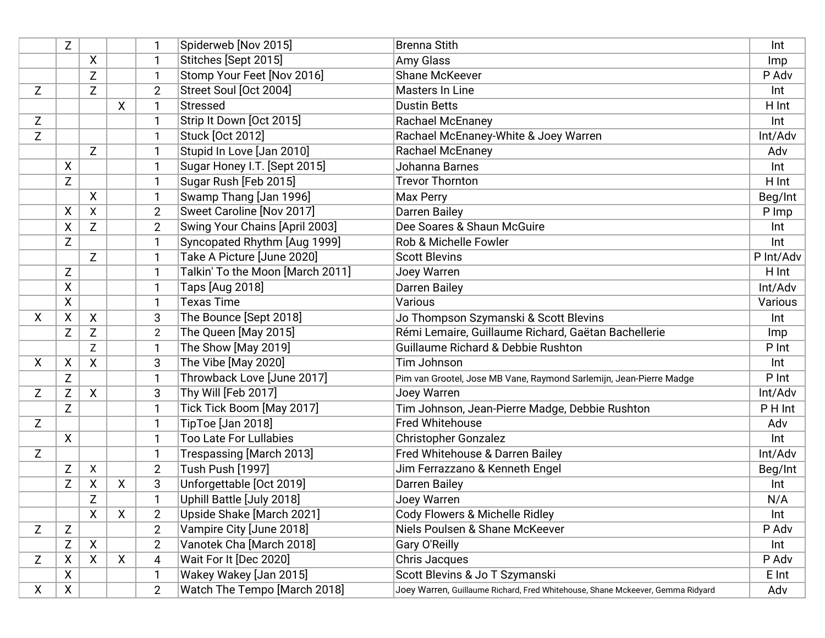|    | Z |              |   | 1              | Spiderweb [Nov 2015]             | <b>Brenna Stith</b>                                                            | Int       |
|----|---|--------------|---|----------------|----------------------------------|--------------------------------------------------------------------------------|-----------|
|    |   | X            |   | 1              | Stitches [Sept 2015]             | <b>Amy Glass</b>                                                               | Imp       |
|    |   | Z            |   | 1              | Stomp Your Feet [Nov 2016]       | <b>Shane McKeever</b>                                                          | P Adv     |
| Z  |   | Z            |   | $\overline{2}$ | Street Soul [Oct 2004]           | Masters In Line                                                                | Int       |
|    |   |              | X | $\mathbf{1}$   | <b>Stressed</b>                  | <b>Dustin Betts</b>                                                            | H Int     |
| Z  |   |              |   | 1              | Strip It Down [Oct 2015]         | <b>Rachael McEnaney</b>                                                        | Int       |
| Z  |   |              |   | 1              | <b>Stuck [Oct 2012]</b>          | Rachael McEnaney-White & Joey Warren                                           | Int/Adv   |
|    |   | Z            |   | 1              | Stupid In Love [Jan 2010]        | <b>Rachael McEnaney</b>                                                        | Adv       |
|    | X |              |   | 1              | Sugar Honey I.T. [Sept 2015]     | Johanna Barnes                                                                 | Int       |
|    | Z |              |   | 1              | Sugar Rush [Feb 2015]            | <b>Trevor Thornton</b>                                                         | H Int     |
|    |   | X            |   | 1              | Swamp Thang [Jan 1996]           | Max Perry                                                                      | Beg/Int   |
|    | X | $\mathsf{X}$ |   | $\overline{2}$ | Sweet Caroline [Nov 2017]        | <b>Darren Bailey</b>                                                           | P Imp     |
|    | X | Z            |   | $\overline{2}$ | Swing Your Chains [April 2003]   | Dee Soares & Shaun McGuire                                                     | Int       |
|    | Z |              |   | $\mathbf{1}$   | Syncopated Rhythm [Aug 1999]     | Rob & Michelle Fowler                                                          | Int       |
|    |   | Z            |   | 1              | Take A Picture [June 2020]       | <b>Scott Blevins</b>                                                           | P Int/Adv |
|    | Z |              |   | 1              | Talkin' To the Moon [March 2011] | Joey Warren                                                                    | H Int     |
|    | χ |              |   | 1              | Taps [Aug 2018]                  | <b>Darren Bailey</b>                                                           | Int/Adv   |
|    | X |              |   | 1              | <b>Texas Time</b>                | Various                                                                        | Various   |
| X  | X | $\mathsf{X}$ |   | 3              | The Bounce [Sept 2018]           | Jo Thompson Szymanski & Scott Blevins                                          | Int       |
|    | Z | Z            |   | $\overline{c}$ | The Queen [May 2015]             | Rémi Lemaire, Guillaume Richard, Gaëtan Bachellerie                            | Imp       |
|    |   | Z            |   | 1              | The Show [May 2019]              | Guillaume Richard & Debbie Rushton                                             | P Int     |
| X. | Χ | X            |   | 3              | The Vibe [May 2020]              | Tim Johnson                                                                    | Int       |
|    | Z |              |   | 1              | Throwback Love [June 2017]       | Pim van Grootel, Jose MB Vane, Raymond Sarlemijn, Jean-Pierre Madge            | P Int     |
| Z  | Z | X            |   | 3              | Thy Will [Feb 2017]              | Joey Warren                                                                    | Int/Adv   |
|    | Z |              |   | 1              | Tick Tick Boom [May 2017]        | Tim Johnson, Jean-Pierre Madge, Debbie Rushton                                 | PHInt     |
| Z  |   |              |   | 1              | TipToe [Jan 2018]                | Fred Whitehouse                                                                | Adv       |
|    | X |              |   | $\mathbf{1}$   | <b>Too Late For Lullabies</b>    | <b>Christopher Gonzalez</b>                                                    | Int       |
| Z  |   |              |   | 1              | Trespassing [March 2013]         | Fred Whitehouse & Darren Bailey                                                | Int/Adv   |
|    | Z | $\mathsf{X}$ |   | $\overline{2}$ | Tush Push [1997]                 | Jim Ferrazzano & Kenneth Engel                                                 | Beg/Int   |
|    | Z | X            | X | 3              | Unforgettable [Oct 2019]         | Darren Bailey                                                                  | Int       |
|    |   | Z            |   | 1              | Uphill Battle [July 2018]        | Joey Warren                                                                    | N/A       |
|    |   | X            | X | $\overline{2}$ | Upside Shake [March 2021]        | Cody Flowers & Michelle Ridley                                                 | Int       |
| Z  | Z |              |   | $\overline{2}$ | Vampire City [June 2018]         | Niels Poulsen & Shane McKeever                                                 | P Adv     |
|    | Ζ | X            |   | $\overline{2}$ | Vanotek Cha [March 2018]         | Gary O'Reilly                                                                  | Int       |
| Z  | X | X            | X | 4              | Wait For It [Dec 2020]           | Chris Jacques                                                                  | P Adv     |
|    | X |              |   | 1              | Wakey Wakey [Jan 2015]           | Scott Blevins & Jo T Szymanski                                                 | E Int     |
| X  | X |              |   | $\overline{2}$ | Watch The Tempo [March 2018]     | Joey Warren, Guillaume Richard, Fred Whitehouse, Shane Mckeever, Gemma Ridyard | Adv       |